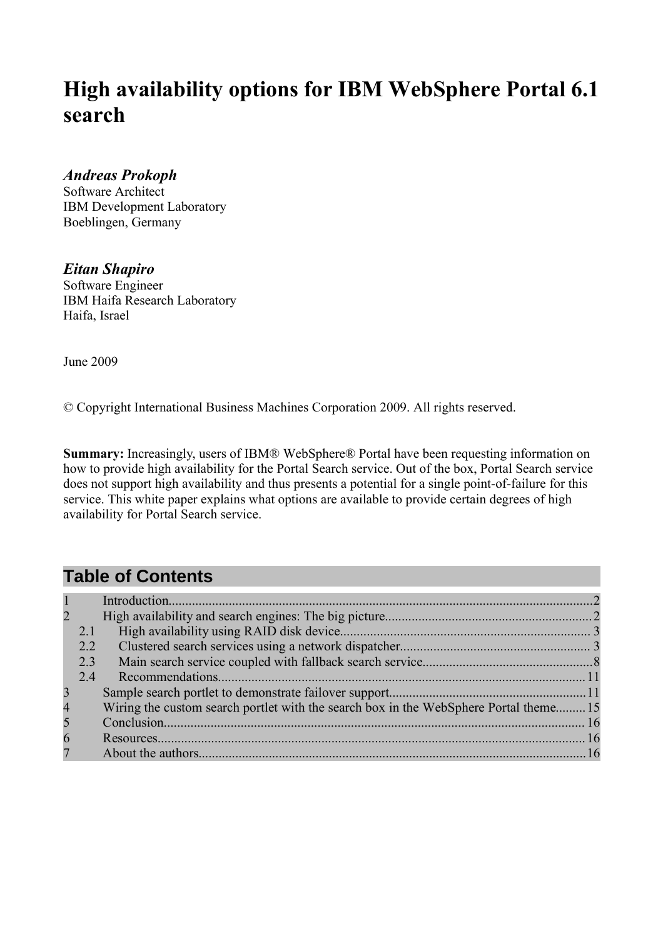

|   |      |              | <b>Table of Contents</b> |              |              |                |                                  |              |  |  |  |  |           |  |        |
|---|------|--------------|--------------------------|--------------|--------------|----------------|----------------------------------|--------------|--|--|--|--|-----------|--|--------|
| 2 |      | W            |                          |              |              |                |                                  |              |  |  |  |  |           |  |        |
| # |      |              |                          |              |              | 3 <sub>1</sub> |                                  |              |  |  |  |  |           |  | (((((  |
|   | #(2) |              |                          |              |              | 4)             |                                  |              |  |  |  |  |           |  |        |
|   | #(#  | $1 - 11$     |                          |              | $\mathbf{u}$ |                | $\begin{array}{c} 4 \end{array}$ |              |  |  |  |  |           |  |        |
|   | #(5) |              |                          | $\mathbf{u}$ |              |                |                                  |              |  |  |  |  |           |  |        |
|   | #(7) |              |                          |              |              |                |                                  |              |  |  |  |  |           |  | '((((( |
| 5 |      |              |                          |              |              |                |                                  | $\mathbf{u}$ |  |  |  |  |           |  |        |
|   |      |              | $\mathbf{u}$             |              |              |                |                                  |              |  |  |  |  | 111111128 |  |        |
| 8 |      | $\mathbf{u}$ |                          |              |              |                |                                  |              |  |  |  |  |           |  |        |
| 9 |      |              |                          |              |              |                |                                  |              |  |  |  |  |           |  | (((((  |
|   |      | $\mathbf{u}$ |                          |              |              |                |                                  |              |  |  |  |  |           |  |        |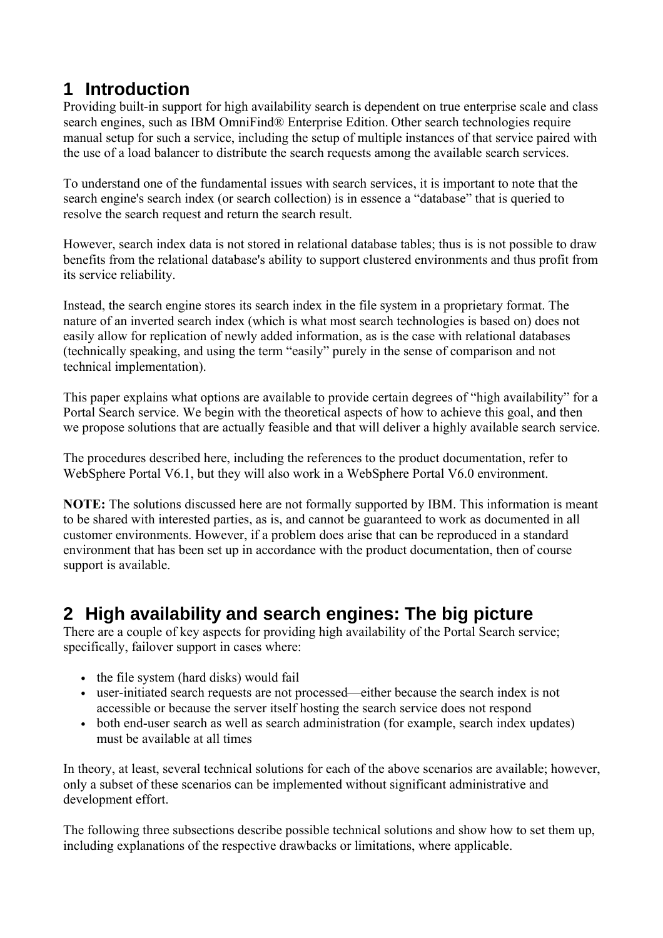## <span id="page-1-0"></span>**1 Introduction**

Providing built-in support for high availability search is dependent on true enterprise scale and class search engines, such as IBM OmniFind® Enterprise Edition. Other search technologies require manual setup for such a service, including the setup of multiple instances of that service paired with the use of a load balancer to distribute the search requests among the available search services.

To understand one of the fundamental issues with search services, it is important to note that the search engine's search index (or search collection) is in essence a "database" that is queried to resolve the search request and return the search result.

However, search index data is not stored in relational database tables; thus is is not possible to draw benefits from the relational database's ability to support clustered environments and thus profit from its service reliability.

Instead, the search engine stores its search index in the file system in a proprietary format. The nature of an inverted search index (which is what most search technologies is based on) does not easily allow for replication of newly added information, as is the case with relational databases (technically speaking, and using the term "easily" purely in the sense of comparison and not technical implementation).

This paper explains what options are available to provide certain degrees of "high availability" for a Portal Search service. We begin with the theoretical aspects of how to achieve this goal, and then we propose solutions that are actually feasible and that will deliver a highly available search service.

The procedures described here, including the references to the product documentation, refer to WebSphere Portal V6.1, but they will also work in a WebSphere Portal V6.0 environment.

**NOTE:** The solutions discussed here are not formally supported by IBM. This information is meant to be shared with interested parties, as is, and cannot be guaranteed to work as documented in all customer environments. However, if a problem does arise that can be reproduced in a standard environment that has been set up in accordance with the product documentation, then of course support is available.

## <span id="page-1-1"></span>**2 High availability and search engines: The big picture**

There are a couple of key aspects for providing high availability of the Portal Search service; specifically, failover support in cases where:

- the file system (hard disks) would fail
- user-initiated search requests are not processed—either because the search index is not accessible or because the server itself hosting the search service does not respond
- both end-user search as well as search administration (for example, search index updates) must be available at all times

In theory, at least, several technical solutions for each of the above scenarios are available; however, only a subset of these scenarios can be implemented without significant administrative and development effort.

The following three subsections describe possible technical solutions and show how to set them up, including explanations of the respective drawbacks or limitations, where applicable.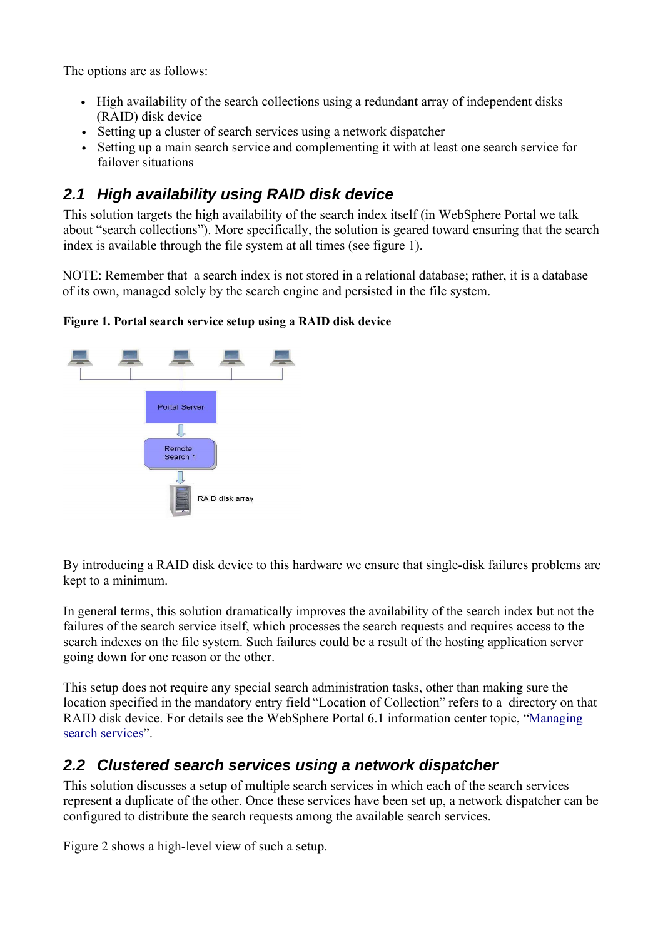"  $)$ " ) (a)  $)$  (b)  $)$  4  $=$  >  $)$  4)  $4)$  $\lambda$ 

 $\mathbf{3}$ 

<span id="page-2-0"></span>2.1 High availability using RAID disk device )/ = + ,<br>" ) ) "<br>= " 2>(  $\frac{1}{\pi}$  $\overline{4}$  $\omega > 0$  $\overline{?}$  $) /$  $\begin{pmatrix} 1 & 1 & 1 \\ 1 & 1 & 1 \\ 1 & 1 & 1 \end{pmatrix}$   $\begin{pmatrix} 1 & 1 & 1 \\ 1 & 1 & 1 \\ 1 & 1 & 1 \end{pmatrix}$  $\begin{array}{c} \begin{array}{c} \end{array} \\ \begin{array}{c} \end{array} \end{array}$  $D.13$  $\lambda$  $\boldsymbol{\mathsf{S}}$ %& '()(



<span id="page-2-1"></span>2.2 Clustered search services using a network dispatcher  $1$  " ) "  $\mathbf{0}$  $\bar{\mathbf{u}}$  $\begin{pmatrix} 1 & 1 \\ 0 & 1 \end{pmatrix}$  $^{"}$  4)  $\begin{pmatrix} 1 \\ 1 \\ 0 \end{pmatrix}$  $\overline{(\ }$ ; "  $\#$  $\mathbb{R}$  and  $\mathbb{R}$  and  $\mathbb{R}$  (  $\overline{0}$ 

 $1$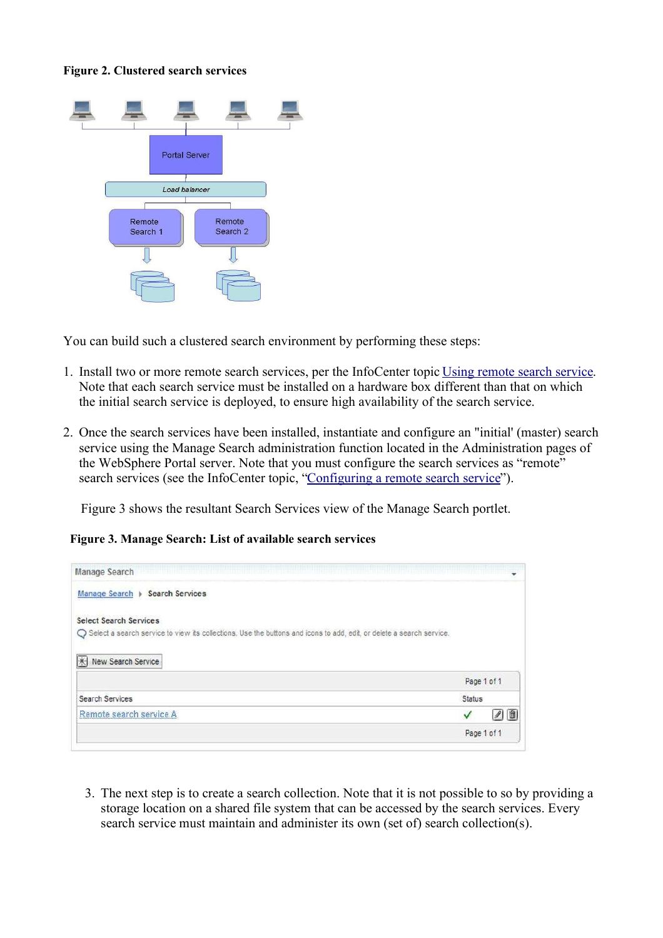



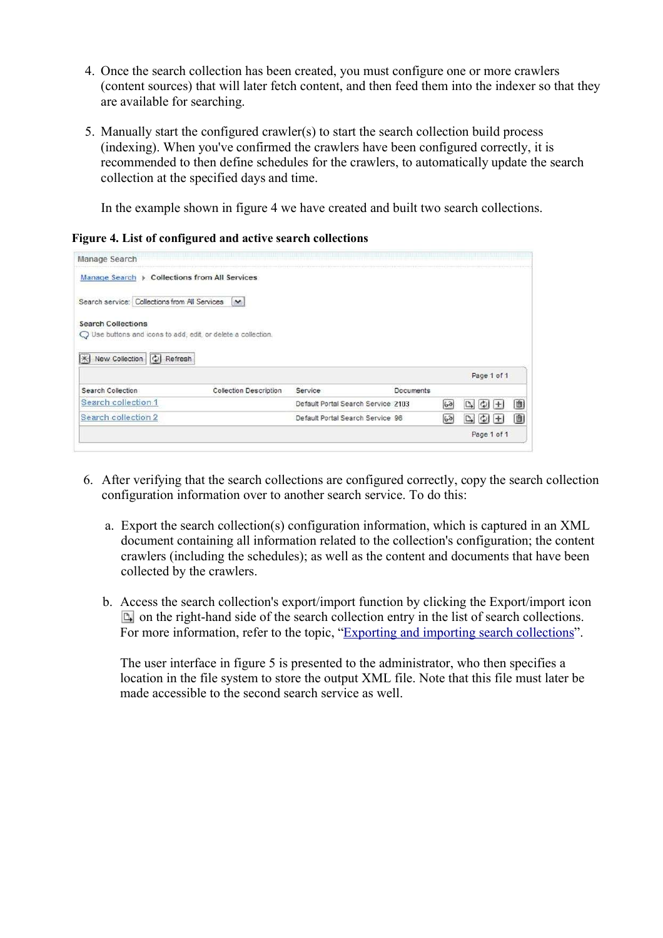

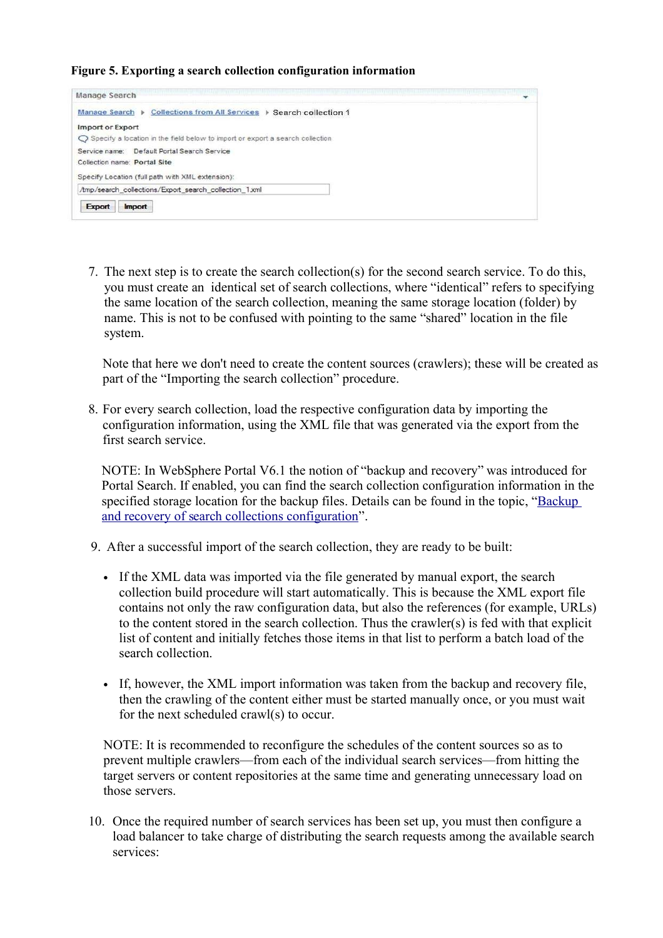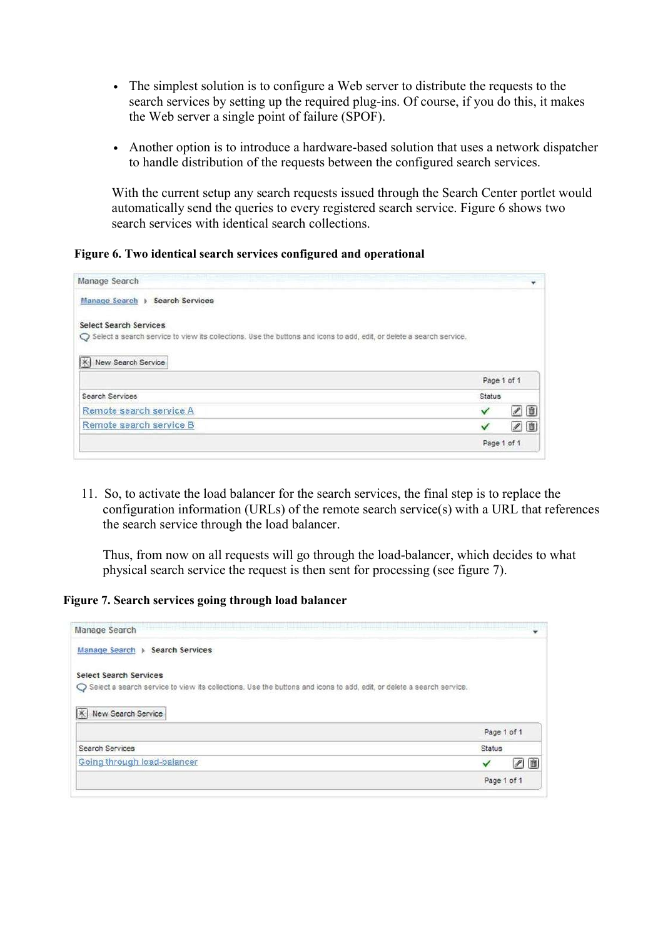- The simplest solution is to configure a Web server to distribute the requests to the search services by setting up the required plug-ins. Of course, if you do this, it makes the Web server a single point of failure (SPOF).
- Another option is to introduce a hardware-based solution that uses a network dispatcher to handle distribution of the requests between the configured search services.

With the current setup any search requests issued through the Search Center portlet would automatically send the queries to every registered search service. Figure 6 shows two search services with identical search collections.

**Figure 6. Two identical search services configured and operational**

| Manage Search                                                                                                          |               |             |
|------------------------------------------------------------------------------------------------------------------------|---------------|-------------|
| Manage Search > Search Services                                                                                        |               |             |
| <b>Select Search Services</b>                                                                                          |               |             |
| ○ Select a search service to view its collections. Use the buttons and icons to add, edit, or delete a search service. |               |             |
| <b>X</b> New Search Service                                                                                            |               |             |
|                                                                                                                        |               | Page 1 of 1 |
|                                                                                                                        |               |             |
| <b>Search Services</b>                                                                                                 | <b>Status</b> |             |
| Remote search service A                                                                                                | ✓             | 20          |
| Remote search service B                                                                                                |               | 00          |

11. So, to activate the load balancer for the search services, the final step is to replace the configuration information (URLs) of the remote search service(s) with a URL that references the search service through the load balancer.

Thus, from now on all requests will go through the load-balancer, which decides to what physical search service the request is then sent for processing (see figure 7).

**Figure 7. Search services going through load balancer**

| art a complete the state of the control of the control of the control of the control of the control of the control<br>Manage Search |               |             |
|-------------------------------------------------------------------------------------------------------------------------------------|---------------|-------------|
| Manage Search > Search Services                                                                                                     |               |             |
| <b>Select Search Services</b>                                                                                                       |               |             |
| Select a search service to view its collections. Use the buttons and icons to add, edit, or delete a search service.                |               |             |
|                                                                                                                                     |               |             |
| New Search Service                                                                                                                  |               |             |
| $ \times $                                                                                                                          |               | Page 1 of 1 |
| <b>Search Services</b>                                                                                                              | <b>Status</b> |             |
| Going through load-balancer                                                                                                         |               | 20          |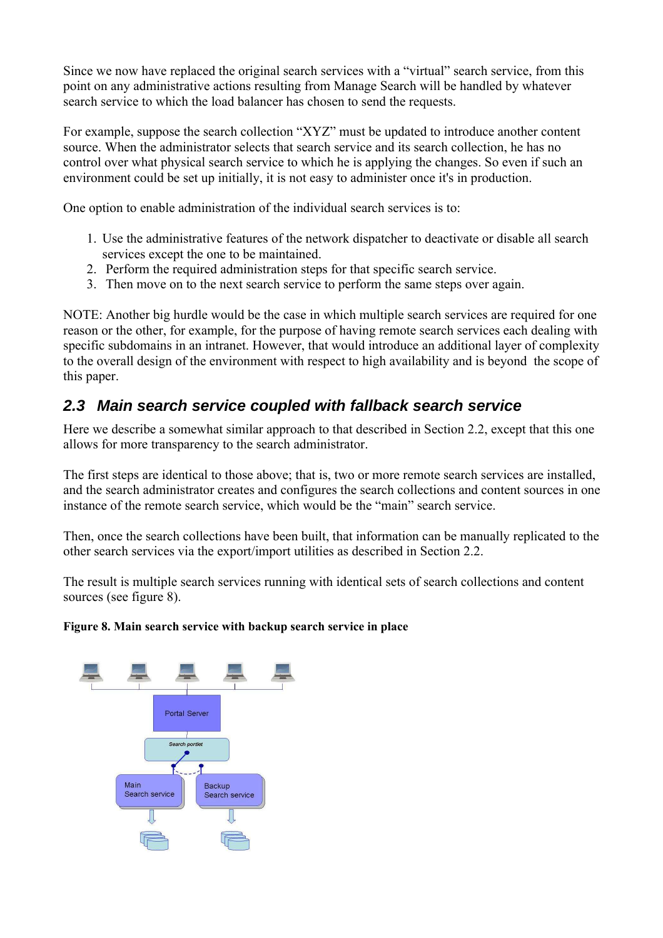Since we now have replaced the original search services with a "virtual" search service, from this point on any administrative actions resulting from Manage Search will be handled by whatever search service to which the load balancer has chosen to send the requests.

For example, suppose the search collection "XYZ" must be updated to introduce another content source. When the administrator selects that search service and its search collection, he has no control over what physical search service to which he is applying the changes. So even if such an environment could be set up initially, it is not easy to administer once it's in production.

One option to enable administration of the individual search services is to:

- 1. Use the administrative features of the network dispatcher to deactivate or disable all search services except the one to be maintained.
- 2. Perform the required administration steps for that specific search service.
- 3. Then move on to the next search service to perform the same steps over again.

NOTE: Another big hurdle would be the case in which multiple search services are required for one reason or the other, for example, for the purpose of having remote search services each dealing with specific subdomains in an intranet. However, that would introduce an additional layer of complexity to the overall design of the environment with respect to high availability and is beyond the scope of this paper.

### <span id="page-7-0"></span>**2.3 Main search service coupled with fallback search service**

Here we describe a somewhat similar approach to that described in Section 2.2, except that this one allows for more transparency to the search administrator.

The first steps are identical to those above; that is, two or more remote search services are installed, and the search administrator creates and configures the search collections and content sources in one instance of the remote search service, which would be the "main" search service.

Then, once the search collections have been built, that information can be manually replicated to the other search services via the export/import utilities as described in Section 2.2.

The result is multiple search services running with identical sets of search collections and content sources (see figure 8).

#### **Figure 8. Main search service with backup search service in place**

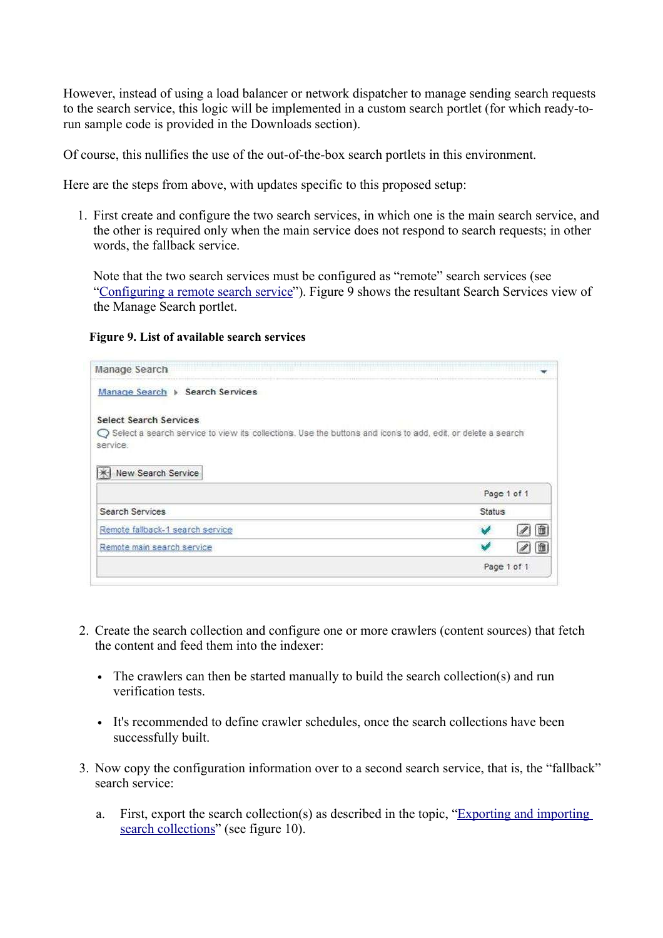



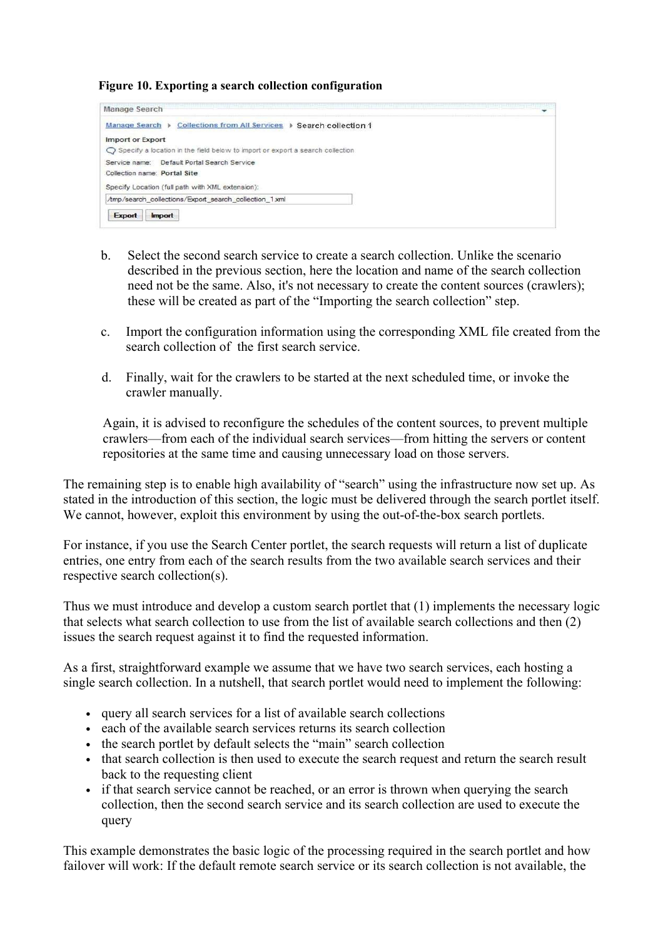#### **Figure 10. Exporting a search collection configuration**

| Manage Search                                                                   |  |
|---------------------------------------------------------------------------------|--|
| Collections from All Services > Search collection 1<br>Manage Search >          |  |
| Import or Export                                                                |  |
| ○ Specify a location in the field below to import or export a search collection |  |
| Service name: Default Portal Search Service                                     |  |
| Collection name: Portal Site                                                    |  |
| Specify Location (full path with XML extension):                                |  |
| Amp/search collections/Export search collection 1xml                            |  |

- b. Select the second search service to create a search collection. Unlike the scenario described in the previous section, here the location and name of the search collection need not be the same. Also, it's not necessary to create the content sources (crawlers); these will be created as part of the "Importing the search collection" step.
- c. Import the configuration information using the corresponding XML file created from the search collection of the first search service.
- d. Finally, wait for the crawlers to be started at the next scheduled time, or invoke the crawler manually.

Again, it is advised to reconfigure the schedules of the content sources, to prevent multiple crawlers—from each of the individual search services—from hitting the servers or content repositories at the same time and causing unnecessary load on those servers.

The remaining step is to enable high availability of "search" using the infrastructure now set up. As stated in the introduction of this section, the logic must be delivered through the search portlet itself. We cannot, however, exploit this environment by using the out-of-the-box search portlets.

For instance, if you use the Search Center portlet, the search requests will return a list of duplicate entries, one entry from each of the search results from the two available search services and their respective search collection(s).

Thus we must introduce and develop a custom search portlet that (1) implements the necessary logic that selects what search collection to use from the list of available search collections and then (2) issues the search request against it to find the requested information.

As a first, straightforward example we assume that we have two search services, each hosting a single search collection. In a nutshell, that search portlet would need to implement the following:

- query all search services for a list of available search collections
- each of the available search services returns its search collection
- the search portlet by default selects the "main" search collection
- that search collection is then used to execute the search request and return the search result back to the requesting client
- if that search service cannot be reached, or an error is thrown when querying the search collection, then the second search service and its search collection are used to execute the query

This example demonstrates the basic logic of the processing required in the search portlet and how failover will work: If the default remote search service or its search collection is not available, the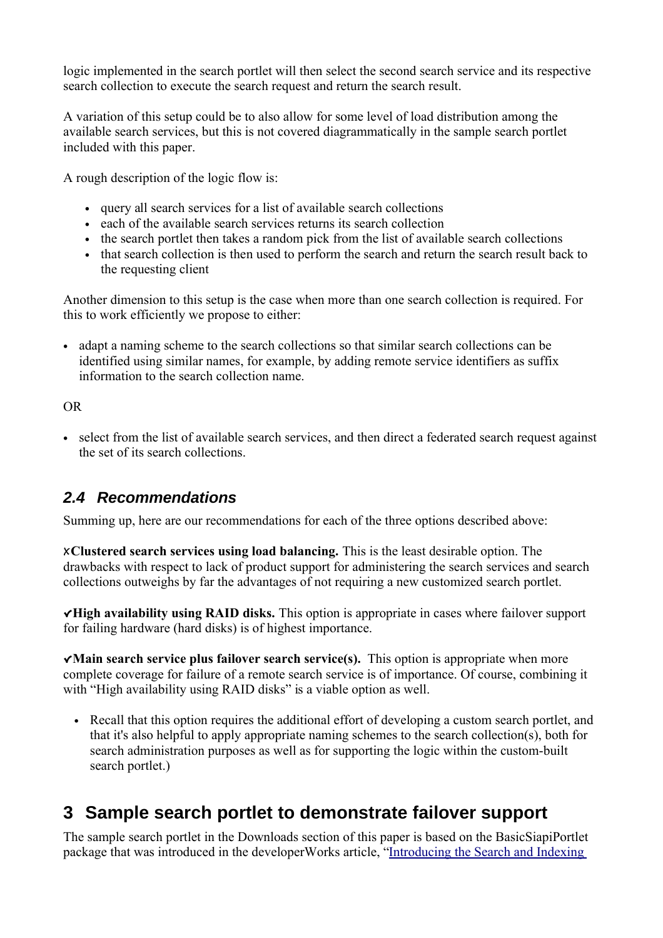$\big)$  $\sqrt{ }$  $\binom{m}{n}$  $)$ )  $"$  $\mathbf{u}$  $)$ ) ") )  $\overline{(}$  $"$ ) 3  $\big)$  $\overline{4}$  $\overline{4}$  $\overline{)}$  $\mathbf{u}$  $\overline{4}$  $\mathbf{L}^{\mathbf{H}}$  $\begin{array}{c} \n\end{array}$  $\mathbf{u}$  $-$ " )( ;  $\overline{3}$  $\left\{ \right.$  $\overline{\phantom{a}}$  $\frac{1}{\sqrt{2}}$  $\overline{)}$  "  $))$  $\overline{\phantom{a}}$  $\begin{pmatrix} 1 & 0 & 0 \\ 0 & 0 & 0 \\ 0 & 0 & 0 \\ 0 & 0 & 0 \\ 0 & 0 & 0 \\ 0 & 0 & 0 \\ 0 & 0 & 0 \\ 0 & 0 & 0 \\ 0 & 0 & 0 & 0 \\ 0 & 0 & 0 & 0 \\ 0 & 0 & 0 & 0 \\ 0 & 0 & 0 & 0 \\ 0 & 0 & 0 & 0 & 0 \\ 0 & 0 & 0 & 0 & 0 \\ 0 & 0 & 0 & 0 & 0 \\ 0 & 0 & 0 & 0 & 0 \\ 0 & 0 & 0 & 0 & 0 & 0 \\ 0 & 0 & 0 & 0 & 0 &$  $\sim$   $\mathbb{Z}^n$  $\overline{(}$ 2.4 Recommendations  $\mathbf{u}$  $)$  ) 3  $\overline{)}$  $\begin{array}{cccc} & 1 & & ) \\ & & \mbox{ } & \\ \phantom{0} & \ddots & & \ddots \end{array}$  $(1)$  $\big)$  +  $\begin{pmatrix} 1 & 1 \\ 1 & 1 \\ 1 & 1 \end{pmatrix}$  (  $\overline{4}$  $(\begin{array}{ccc} 968' \\ 1 \end{array}) = (\begin{array}{ccc} 968' \\ 1 \end{array}) = (\begin{array}{ccc} 1 \end{array}) = (\begin{array}{ccc} 1 \end{array}) = (\begin{array}{ccc} 1 \end{array}) = (\begin{array}{ccc} 1 \end{array}) = (\begin{array}{ccc} 1 \end{array}) = (\begin{array}{ccc} 1 \end{array}) = (\begin{array}{ccc} 1 \end{array}) = (\begin{array}{ccc} 1 \end{array}) = (\begin{array}{ccc} 1 \end{array}) = (\begin{array}{ccc} 1 \end{array}) = (\begin{array}{ccc} 1 \end{array}) = (\begin{array}{ccc} 1 \end{array$  $\bar{\mathbf{u}}$ 67  $($   $\frac{1}{\cdot}$  $4@$  $\mathbf{u}$  $\overline{?}$  $\overline{a}$  $\begin{matrix} \begin{matrix} 0 \\ 0 \\ 0 \\ 0 \\ 0 \\ 0 \\ 0 \\ 0 \end{matrix} \end{matrix} \qquad \qquad \begin{matrix} \begin{matrix} 0 \\ 0 \\ 0 \\ 0 \\ 0 \\ 0 \\ 0 \end{matrix} \end{matrix} \qquad \qquad \begin{matrix} \begin{matrix} 0 \\ 0 \\ 0 \\ 0 \\ 0 \\ 0 \\ 0 \end{matrix} \end{matrix} \qquad \qquad \begin{matrix} \begin{matrix} 0 \\ 0 \\ 0 \\ 0 \\ 0 \\ 0 \end{matrix} \end{matrix} \qquad \qquad \begin{matrix} \begin{matrix} 0 \\ 0 \\ 0 \\ 0 \\ 0 \\ 0 \end{matrix} \end{matrix$  $\lambda$  $\left\langle \begin{array}{c} 1 \\ 1 \end{array} \right\rangle$  $\begin{array}{cc} - & - \\ 0 & \end{array}$  $($ 

<span id="page-10-1"></span><span id="page-10-0"></span>3 Sample search portlet to demonstrate failover support  $\overline{1}$  $\, )$  )  $\mathcal{E}$  $)^{n}$ )  $+4$  $\overline{?}$  $\overline{4}$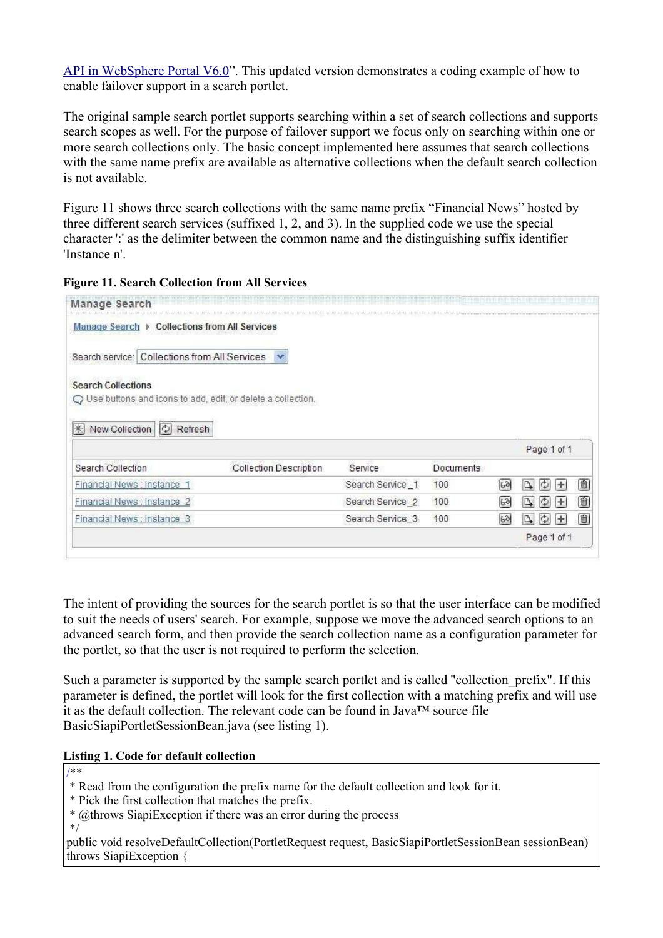API in WebSphere Portal V6.0". This updated version demonstrates a coding example of how to enable failover support in a search portlet.

The original sample search portlet supports searching within a set of search collections and supports search scopes as well. For the purpose of failover support we focus only on searching within one or more search collections only. The basic concept implemented here assumes that search collections with the same name prefix are available as alternative collections when the default search collection is not available.

Figure 11 shows three search collections with the same name prefix "Financial News" hosted by three different search services (suffixed 1, 2, and 3). In the supplied code we use the special character ':' as the delimiter between the common name and the distinguishing suffix identifier 'Instance n'.

| Manage Search ▶ Collections from All Services |                                                                 |                             |                  |                |                  |   |
|-----------------------------------------------|-----------------------------------------------------------------|-----------------------------|------------------|----------------|------------------|---|
| Search service: Collections from All Services | ×                                                               |                             |                  |                |                  |   |
| <b>Search Collections</b>                     |                                                                 |                             |                  |                |                  |   |
|                                               | $Q$ Use buttons and icons to add, edit, or delete a collection. |                             |                  |                |                  |   |
|                                               |                                                                 |                             |                  |                |                  |   |
| New Collection<br><b>X</b><br>Refresh         |                                                                 |                             |                  |                |                  |   |
| ାହା                                           |                                                                 |                             |                  |                | Page 1 of 1      |   |
| Search Collection                             | <b>Collection Description</b>                                   | Service                     | <b>Documents</b> |                |                  |   |
| Financial News : Instance 1                   |                                                                 | Search Service 1            | 100              | 60             | D.<br>Φ<br>$\pm$ | Û |
| Financial News : Instance 2                   |                                                                 | Search Service <sub>2</sub> | 100              | $6\delta$      | D,<br>÷          | Û |
| Financial News : Instance 3                   |                                                                 | Search Service 3            | 100              | 6 <sup>2</sup> | D.<br>Ф<br>$\pm$ | 面 |

The intent of providing the sources for the search portlet is so that the user interface can be modified to suit the needs of users' search. For example, suppose we move the advanced search options to an advanced search form, and then provide the search collection name as a configuration parameter for the portlet, so that the user is not required to perform the selection.

Such a parameter is supported by the sample search portlet and is called "collection prefix". If this parameter is defined, the portlet will look for the first collection with a matching prefix and will use it as the default collection. The relevant code can be found in Java™ source file BasicSiapiPortletSessionBean.java (see listing 1).

#### **Listing 1. Code for default collection**

/\*\*

\* Read from the configuration the prefix name for the default collection and look for it.

\* Pick the first collection that matches the prefix.

\* @throws SiapiException if there was an error during the process

\*/

public void resolveDefaultCollection(PortletRequest request, BasicSiapiPortletSessionBean sessionBean) throws SiapiException {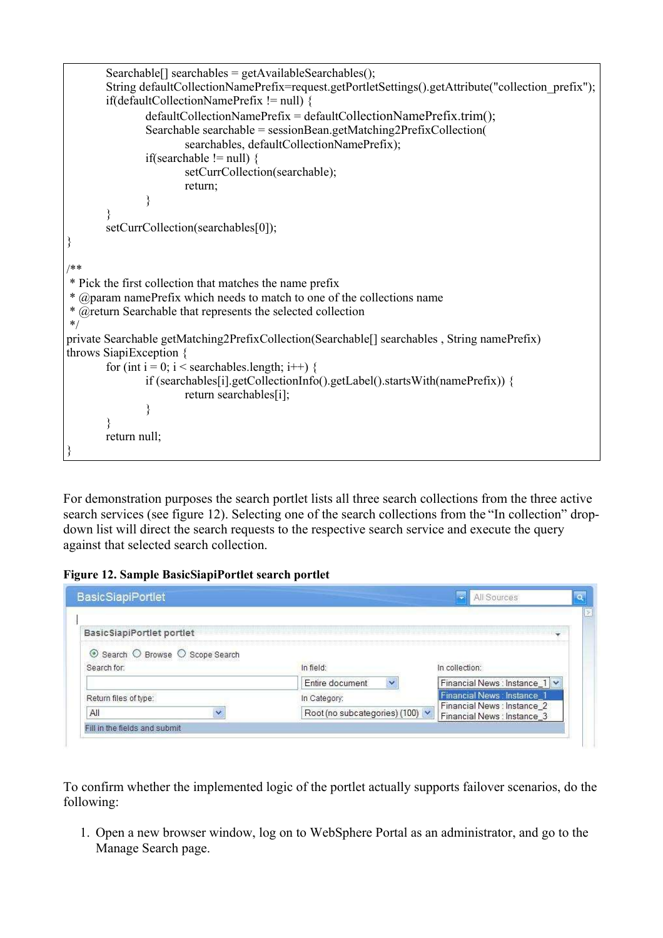```
Searchable[] searchables = getAvailableSearchables();String defaultCollectionNamePrefix=request.getPortletSettings().getAttribute("collection_prefix");
        if(defaultCollectionNamePrefix != null) {
               defaultCollectionNamePrefix = defaultCollectionNamePrefix.trim();
               Searchable searchable = sessionBean.getMatching2PrefixCollection(
                       searchables, defaultCollectionNamePrefix);
               if(searchable != null) {
                       setCurrCollection(searchable);
                       return;
                }
        }
       setCurrCollection(searchables[0]);
}
/**
* Pick the first collection that matches the name prefix
* @param namePrefix which needs to match to one of the collections name 
* @return Searchable that represents the selected collection
*/
private Searchable getMatching2PrefixCollection(Searchable[] searchables , String namePrefix)
throws SiapiException {
       for (int i = 0; i < searchables.length; i++) {
               if (searchables[i].getCollectionInfo().getLabel().startsWith(namePrefix)) {
                       return searchables[i];
                }
        }
       return null;
}
```
For demonstration purposes the search portlet lists all three search collections from the three active search services (see figure 12). Selecting one of the search collections from the "In collection" dropdown list will direct the search requests to the respective search service and execute the query against that selected search collection.

#### **Figure 12. Sample BasicSiapiPortlet search portlet**

| <b>BasicSiapiPortlet</b>                      |                                 | All Sources                                                |
|-----------------------------------------------|---------------------------------|------------------------------------------------------------|
| <b>BasicSiapiPortlet portlet</b>              |                                 |                                                            |
| Search O Browse O Scope Search<br>Search for: | In field:                       | In collection:                                             |
|                                               | Entire document                 | Financial News : Instance_1   v                            |
| Return files of type:                         | In Category:                    | Financial News: Instance 1                                 |
| All                                           | Root (no subcategories) (100) v | Financial News : Instance 2<br>Financial News : Instance 3 |

To confirm whether the implemented logic of the portlet actually supports failover scenarios, do the following:

1. Open a new browser window, log on to WebSphere Portal as an administrator, and go to the Manage Search page.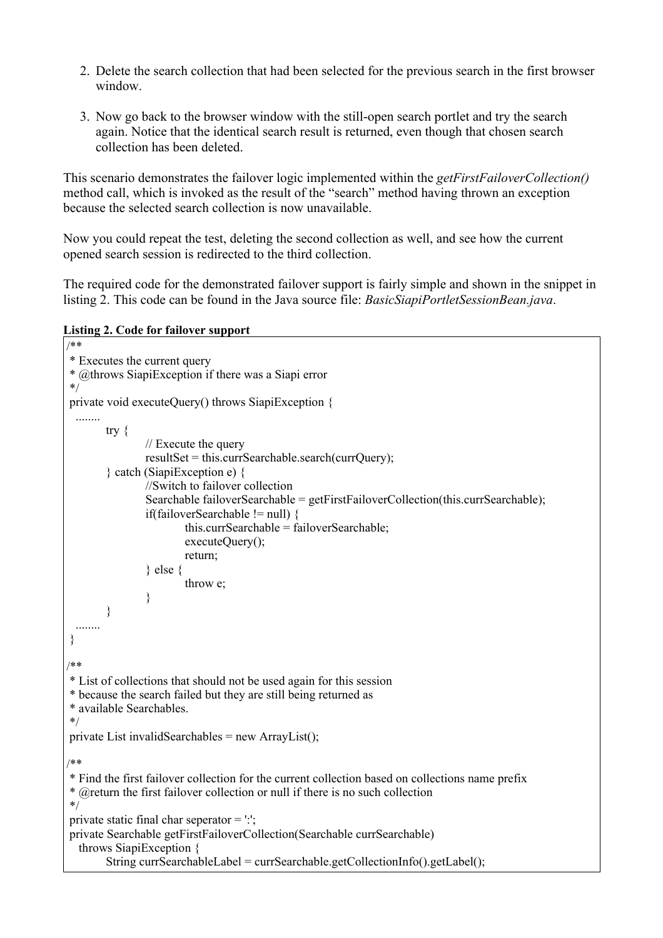- 2. Delete the search collection that had been selected for the previous search in the first browser window.
- 3. Now go back to the browser window with the still-open search portlet and try the search again. Notice that the identical search result is returned, even though that chosen search collection has been deleted.

This scenario demonstrates the failover logic implemented within the *getFirstFailoverCollection()* method call, which is invoked as the result of the "search" method having thrown an exception because the selected search collection is now unavailable.

Now you could repeat the test, deleting the second collection as well, and see how the current opened search session is redirected to the third collection.

The required code for the demonstrated failover support is fairly simple and shown in the snippet in listing 2. This code can be found in the Java source file: *BasicSiapiPortletSessionBean.java*.

**Listing 2. Code for failover support**

```
/**
* Executes the current query
* @throws SiapiException if there was a Siapi error
*/
private void executeQuery() throws SiapiException { 
  ........
       try {
               // Execute the query
                resultSet = this.curSearchable.search(currQuery);} catch (SiapiException e) {
                //Switch to failover collection
                Searchable failoverSearchable = getFirstFailureCollection(this.currSearchable);if(failoverSearchable != null) {
                        this.currSearchable = failoverSearchable;
                        executeQuery();
                        return;
                } else {
                        throw e;
                }
        }
  ........
}
/**
* List of collections that should not be used again for this session 
* because the search failed but they are still being returned as
* available Searchables.
*/
private List invalidSearchables = new ArrayList();
/**
* Find the first failover collection for the current collection based on collections name prefix
* @return the first failover collection or null if there is no such collection 
*/
private static final char seperator = \cdot.
private Searchable getFirstFailoverCollection(Searchable currSearchable)
   throws SiapiException {
       String currSearchableLabel = currSearchable.getCollectionInfo().getLabel();
```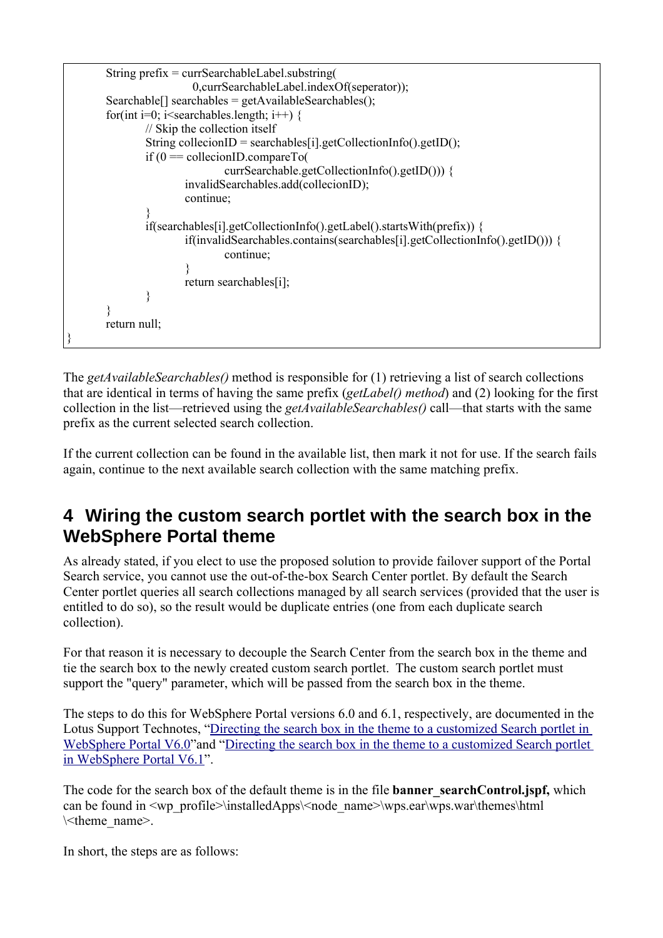

<span id="page-14-0"></span>4 Wiring the custom search portlet with the search box in the WebSphere Portal theme



 $\left( \begin{array}{cc} 0 & 1 \end{array} \right)$  $1)$ 8  $+$  $9:$ Z[\]^\_]`ab\c]d\]efghgia`dj\_kld\mn[jj\_coggmle\ac\_h\[p\_klfgmq\_[ilfgmqf[ilnr\_p\_mlrnpj lenr\_p\_h\[p\_kq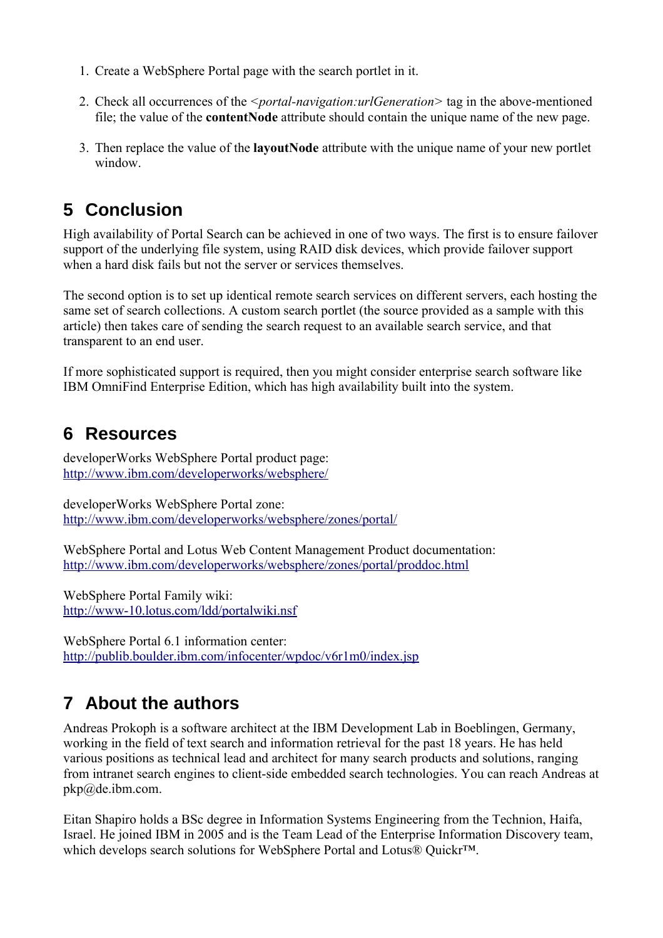$2(' + ,$  $\overline{(}$  $#(' 4 " A " 1 " # 0 )$  $\overline{(\ }$  $\begin{pmatrix} 0 & 0 & 0 \\ 0 & 0 & 0 \end{pmatrix} = \begin{pmatrix} 0 & 0 \\ 0 & 0 \end{pmatrix} = \begin{pmatrix} 0 & 0 \\ 0 & 0 \end{pmatrix}$  $5(1$  "  $\left( \begin{array}{c} 1 \\ 1 \end{array} \right)$ 

# <span id="page-15-0"></span>5 Conclusion

 $\begin{array}{c} \n\frac{1}{2} \\
\frac{1}{2} \\
\frac{1}{2} \\
\frac{1}{2} \\
\frac{1}{2} \\
\frac{1}{2} \\
\frac{1}{2} \\
\frac{1}{2} \\
\frac{1}{2} \\
\frac{1}{2} \\
\frac{1}{2} \\
\frac{1}{2} \\
\frac{1}{2} \\
\frac{1}{2} \\
\frac{1}{2} \\
\frac{1}{2} \\
\frac{1}{2} \\
\frac{1}{2} \\
\frac{1}{2} \\
\frac{1}{2} \\
\frac{1}{2} \\
\frac{1}{2} \\
\frac{1}{2} \\
\frac{1}{2} \\
\frac{1}{2} \\
\frac{1}{2} \\
\frac{$ 1 )  $\begin{pmatrix} 1 & 1 & 1 \\ 1 & 1 & 1 \\ 1 & 1 & 1 \\ 1 & 1 & 1 \end{pmatrix}$  =  $\begin{pmatrix} 1 & 1 & 1 \\ 1 & 1 & 1 \\ 1 & 1 & 1 \end{pmatrix}$  =  $\begin{pmatrix} 1 & 1 & 1 \\ 1 & 1 & 1 \\ 1 & 1 & 1 \end{pmatrix}$  $\lambda$  $\begin{array}{c} 4 \\ (1) \end{array}$ 

# <span id="page-15-1"></span>6 Resources )  $+4 +$  ,  $)''$  3<br>3II ( ( 1) 41 )  $+4+$  , K 3<br>3II ( ( 1)  $41$  IK 1 + , ) " + ' , )" ) "<br>3II ( ( 1) 41 IK 1 1)) (  $\overline{3}$  $+$  ; 43<br>3II 02\$( " ( 1)) 4(  $+$  , 9(2 3<br>3II (") ( ( 1 1) 192\$1)/(N

## <span id="page-15-2"></span>7 About the authors

 $\begin{pmatrix} 1 \\ 4 \\ 4 \\ 1 \end{pmatrix}$ ) / )  $\begin{array}{c} 26 \\ 0 \\ 0 \end{array}$  ( )  $\begin{array}{c} 26 \\ 1 \\ 0 \end{array}$  ( )  $\begin{array}{c} 26 \\ 1 \\ 1 \end{array}$  ( E  $\begin{array}{c} 2 \end{array}$  $4 P$ ) ( ( ( ( N )  $\begin{array}{cccc} & & & \\ & & & & \\ & & & & \\ & & & & \\ 0 & & & \end{array}$  + + ( )  $^{\frac{1}{2}}$  + Y" 4 M(